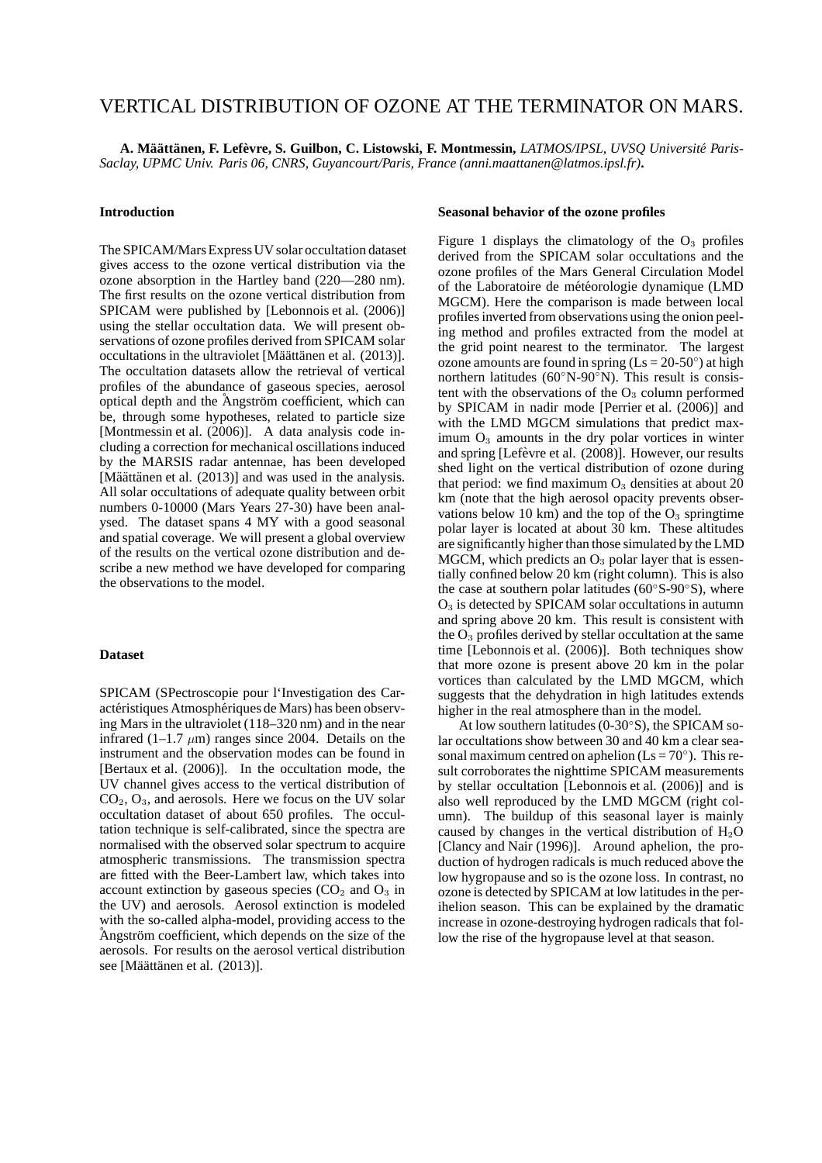# VERTICAL DISTRIBUTION OF OZONE AT THE TERMINATOR ON MARS.

**A. Ma¨att ¨ anen, F. Lef ¨ evre, S. Guilbon, C. Listowski, F. Montmessin, `** *LATMOS/IPSL, UVSQ Universite Paris- ´ Saclay, UPMC Univ. Paris 06, CNRS, Guyancourt/Paris, France (anni.maattanen@latmos.ipsl.fr)***.**

#### **Introduction**

The SPICAM/Mars Express UV solar occultation dataset gives access to the ozone vertical distribution via the ozone absorption in the Hartley band (220—280 nm). The first results on the ozone vertical distribution from SPICAM were published by [Lebonnois et al. (2006)] using the stellar occultation data. We will present observations of ozone profiles derived from SPICAM solar occultations in the ultraviolet [Määttänen et al. (2013)]. The occultation datasets allow the retrieval of vertical profiles of the abundance of gaseous species, aerosol optical depth and the Angström coefficient, which can be, through some hypotheses, related to particle size [Montmessin et al. (2006)]. A data analysis code including a correction for mechanical oscillations induced by the MARSIS radar antennae, has been developed [Määttänen et al.  $(2013)$ ] and was used in the analysis. All solar occultations of adequate quality between orbit numbers 0-10000 (Mars Years 27-30) have been analysed. The dataset spans 4 MY with a good seasonal and spatial coverage. We will present a global overview of the results on the vertical ozone distribution and describe a new method we have developed for comparing the observations to the model.

# **Dataset**

SPICAM (SPectroscopie pour l'Investigation des Caractéristiques Atmosphériques de Mars) has been observing Mars in the ultraviolet (118–320 nm) and in the near infrared  $(1-1.7 \mu m)$  ranges since 2004. Details on the instrument and the observation modes can be found in [Bertaux et al. (2006)]. In the occultation mode, the UV channel gives access to the vertical distribution of  $CO<sub>2</sub>, O<sub>3</sub>$ , and aerosols. Here we focus on the UV solar occultation dataset of about 650 profiles. The occultation technique is self-calibrated, since the spectra are normalised with the observed solar spectrum to acquire atmospheric transmissions. The transmission spectra are fitted with the Beer-Lambert law, which takes into account extinction by gaseous species  $(CO<sub>2</sub>$  and  $O<sub>3</sub>$  in the UV) and aerosols. Aerosol extinction is modeled with the so-called alpha-model, providing access to the Angström coefficient, which depends on the size of the aerosols. For results on the aerosol vertical distribution see [Määttänen et al. (2013)].

#### **Seasonal behavior of the ozone profiles**

Figure 1 displays the climatology of the  $O_3$  profiles derived from the SPICAM solar occultations and the ozone profiles of the Mars General Circulation Model of the Laboratoire de météorologie dynamique (LMD MGCM). Here the comparison is made between local profiles inverted from observations using the onion peeling method and profiles extracted from the model at the grid point nearest to the terminator. The largest ozone amounts are found in spring ( $\text{Ls} = 20-50^\circ$ ) at high northern latitudes (60◦N-90◦N). This result is consistent with the observations of the  $O<sub>3</sub>$  column performed by SPICAM in nadir mode [Perrier et al. (2006)] and with the LMD MGCM simulations that predict maximum  $O<sub>3</sub>$  amounts in the dry polar vortices in winter and spring [Lefèvre et al. (2008)]. However, our results shed light on the vertical distribution of ozone during that period: we find maximum  $O_3$  densities at about 20 km (note that the high aerosol opacity prevents observations below 10 km) and the top of the  $O_3$  springtime polar layer is located at about 30 km. These altitudes are significantly higher than those simulated by the LMD MGCM, which predicts an  $O_3$  polar layer that is essentially confined below 20 km (right column). This is also the case at southern polar latitudes (60◦S-90◦S), where  $O<sub>3</sub>$  is detected by SPICAM solar occultations in autumn and spring above 20 km. This result is consistent with the  $O_3$  profiles derived by stellar occultation at the same time [Lebonnois et al. (2006)]. Both techniques show that more ozone is present above 20 km in the polar vortices than calculated by the LMD MGCM, which suggests that the dehydration in high latitudes extends higher in the real atmosphere than in the model.

At low southern latitudes (0-30◦S), the SPICAM solar occultations show between 30 and 40 km a clear seasonal maximum centred on aphelion  $(Ls = 70^{\circ})$ . This result corroborates the nighttime SPICAM measurements by stellar occultation [Lebonnois et al. (2006)] and is also well reproduced by the LMD MGCM (right column). The buildup of this seasonal layer is mainly caused by changes in the vertical distribution of  $H_2O$ [Clancy and Nair (1996)]. Around aphelion, the production of hydrogen radicals is much reduced above the low hygropause and so is the ozone loss. In contrast, no ozone is detected by SPICAM at low latitudes in the perihelion season. This can be explained by the dramatic increase in ozone-destroying hydrogen radicals that follow the rise of the hygropause level at that season.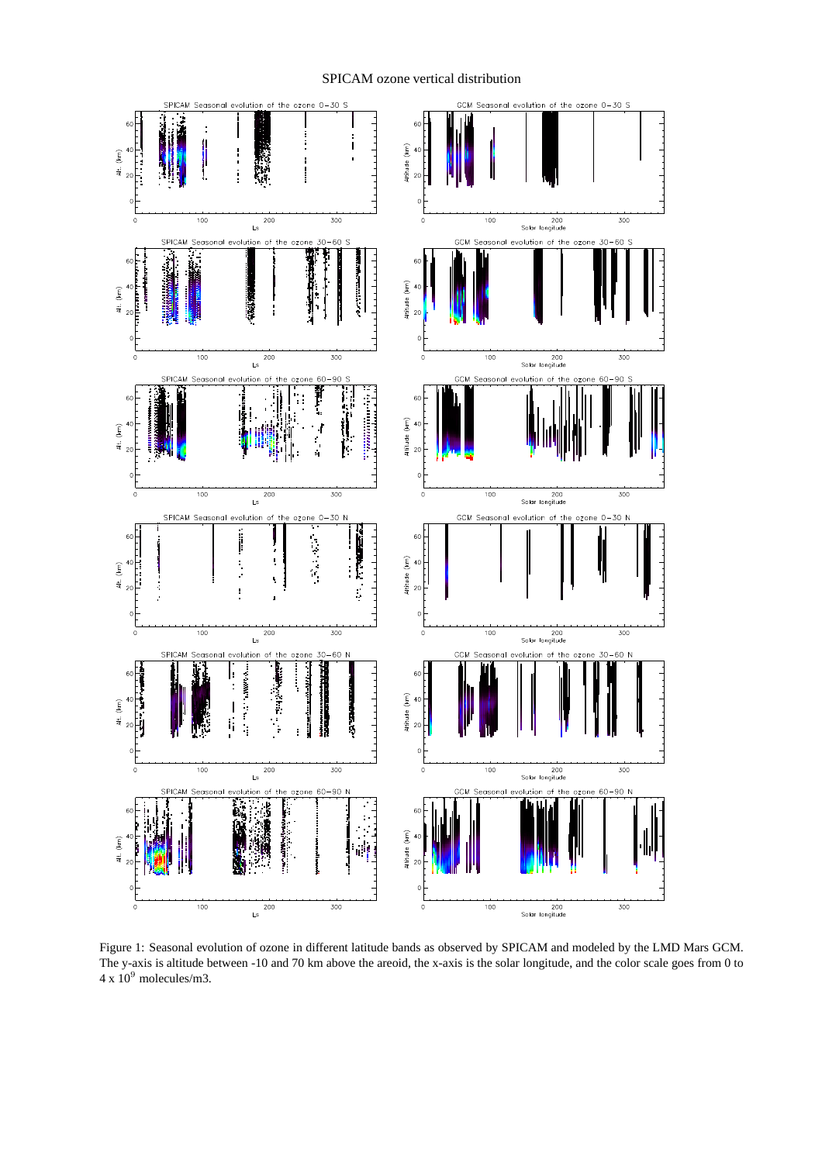# SPICAM ozone vertical distribution



Figure 1: Seasonal evolution of ozone in different latitude bands as observed by SPICAM and modeled by the LMD Mars GCM. The y-axis is altitude between -10 and 70 km above the areoid, the x-axis is the solar longitude, and the color scale goes from 0 to  $4 \times 10^9$  molecules/m3.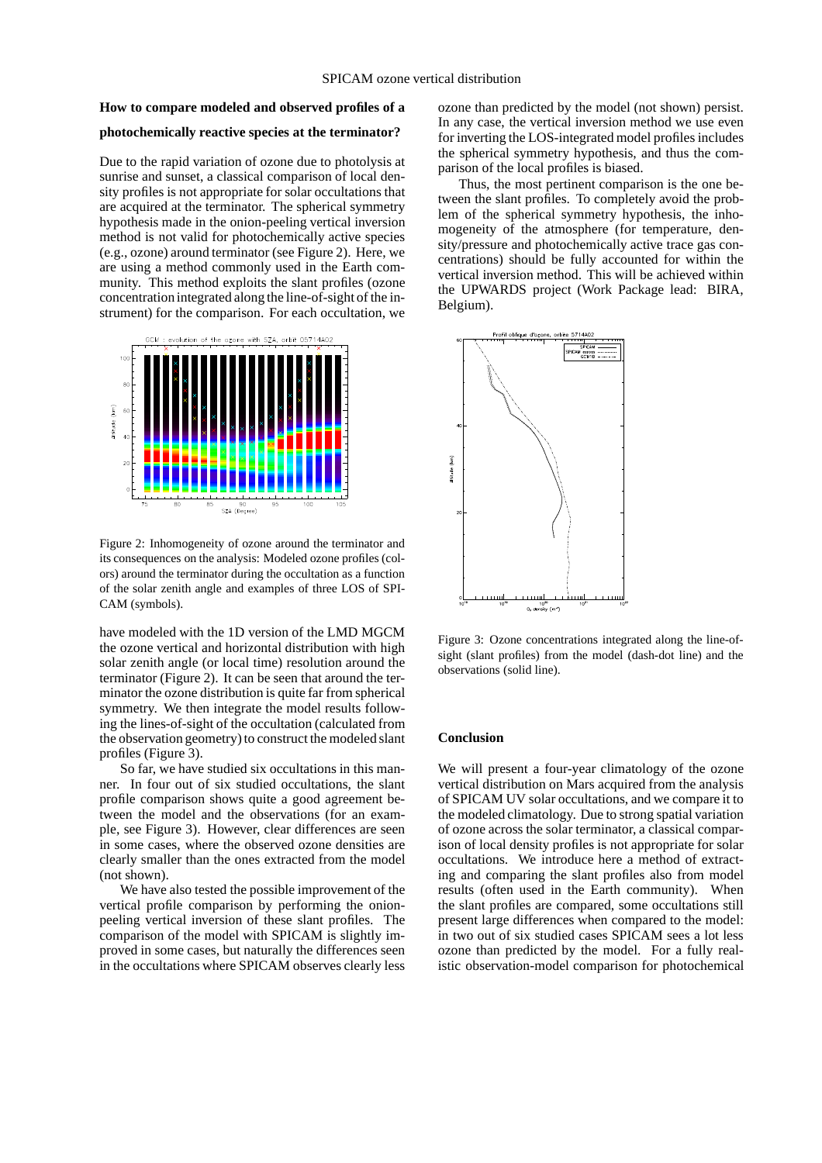## **How to compare modeled and observed profiles of a**

# **photochemically reactive species at the terminator?**

Due to the rapid variation of ozone due to photolysis at sunrise and sunset, a classical comparison of local density profiles is not appropriate for solar occultations that are acquired at the terminator. The spherical symmetry hypothesis made in the onion-peeling vertical inversion method is not valid for photochemically active species (e.g., ozone) around terminator (see Figure 2). Here, we are using a method commonly used in the Earth community. This method exploits the slant profiles (ozone concentration integrated along the line-of-sight of the instrument) for the comparison. For each occultation, we



Figure 2: Inhomogeneity of ozone around the terminator and its consequences on the analysis: Modeled ozone profiles (colors) around the terminator during the occultation as a function of the solar zenith angle and examples of three LOS of SPI-CAM (symbols).

have modeled with the 1D version of the LMD MGCM the ozone vertical and horizontal distribution with high solar zenith angle (or local time) resolution around the terminator (Figure 2). It can be seen that around the terminator the ozone distribution is quite far from spherical symmetry. We then integrate the model results following the lines-of-sight of the occultation (calculated from the observation geometry) to construct the modeled slant profiles (Figure 3).

So far, we have studied six occultations in this manner. In four out of six studied occultations, the slant profile comparison shows quite a good agreement between the model and the observations (for an example, see Figure 3). However, clear differences are seen in some cases, where the observed ozone densities are clearly smaller than the ones extracted from the model (not shown).

We have also tested the possible improvement of the vertical profile comparison by performing the onionpeeling vertical inversion of these slant profiles. The comparison of the model with SPICAM is slightly improved in some cases, but naturally the differences seen in the occultations where SPICAM observes clearly less ozone than predicted by the model (not shown) persist. In any case, the vertical inversion method we use even for inverting the LOS-integrated model profiles includes the spherical symmetry hypothesis, and thus the comparison of the local profiles is biased.

Thus, the most pertinent comparison is the one between the slant profiles. To completely avoid the problem of the spherical symmetry hypothesis, the inhomogeneity of the atmosphere (for temperature, density/pressure and photochemically active trace gas concentrations) should be fully accounted for within the vertical inversion method. This will be achieved within the UPWARDS project (Work Package lead: BIRA, Belgium).



Figure 3: Ozone concentrations integrated along the line-ofsight (slant profiles) from the model (dash-dot line) and the observations (solid line).

### **Conclusion**

We will present a four-year climatology of the ozone vertical distribution on Mars acquired from the analysis of SPICAM UV solar occultations, and we compare it to the modeled climatology. Due to strong spatial variation of ozone across the solar terminator, a classical comparison of local density profiles is not appropriate for solar occultations. We introduce here a method of extracting and comparing the slant profiles also from model results (often used in the Earth community). When the slant profiles are compared, some occultations still present large differences when compared to the model: in two out of six studied cases SPICAM sees a lot less ozone than predicted by the model. For a fully realistic observation-model comparison for photochemical